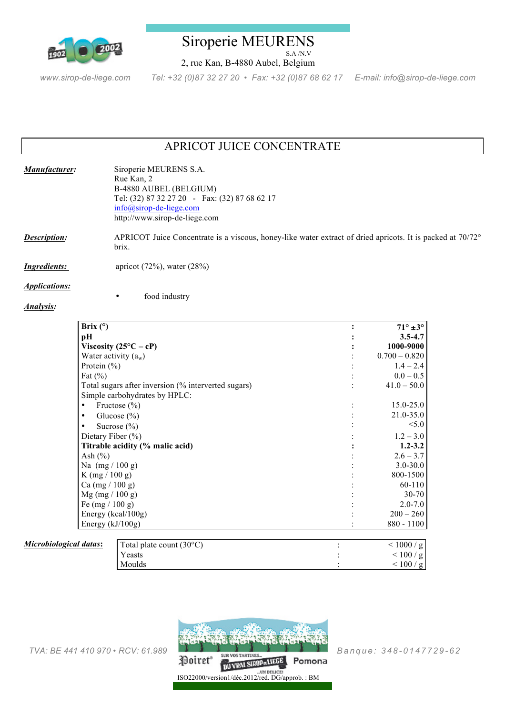

## Siroperie MEURENS S.A /N.V

2, rue Kan, B-4880 Aubel, Belgium

*www.sirop-de-liege.com Tel: +32 (0)87 32 27 20 • Fax: +32 (0)87 68 62 17 E-mail: info@sirop-de-liege.com*

# APRICOT JUICE CONCENTRATE

| Manufacturer:       | Siroperie MEURENS S.A.<br>Rue Kan, 2<br>B-4880 AUBEL (BELGIUM)<br>Tel: (32) 87 32 27 20 - Fax: (32) 87 68 62 17<br>$info@sirop-de-liege.com$<br>http://www.sirop-de-liege.com |
|---------------------|-------------------------------------------------------------------------------------------------------------------------------------------------------------------------------|
| Description:        | APRICOT Juice Concentrate is a viscous, honey-like water extract of dried apricots. It is packed at 70/72°<br>brix.                                                           |
| <i>Ingredients:</i> | apricot $(72\%)$ , water $(28\%)$                                                                                                                                             |

*Applications:* 

```
Analysis:
```
food industry

| Brix $(°)$                                          |                                   | $71^\circ \pm 3^\circ$ |
|-----------------------------------------------------|-----------------------------------|------------------------|
| pН                                                  |                                   | $3.5 - 4.7$            |
| Viscosity $(25^{\circ}C - cP)$                      |                                   | 1000-9000              |
| Water activity $(a_w)$                              |                                   | $0.700 - 0.820$        |
| Protein $(\% )$                                     |                                   | $1.4 - 2.4$            |
| Fat $(\%)$                                          |                                   | $0.0 - 0.5$            |
| Total sugars after inversion (% interverted sugars) |                                   | $41.0 - 50.0$          |
|                                                     | Simple carbohydrates by HPLC:     |                        |
| Fructose $(\% )$<br>٠                               |                                   | $15.0 - 25.0$          |
| Glucose $(\% )$<br>٠                                |                                   | 21.0-35.0              |
|                                                     | Sucrose $(\% )$                   | < 5.0                  |
| Dietary Fiber $(\% )$                               |                                   | $1.2 - 3.0$            |
| Titrable acidity (% malic acid)                     |                                   | $1.2 - 3.2$            |
| Ash $(\% )$                                         |                                   | $2.6 - 3.7$            |
| Na $(mg / 100 g)$                                   |                                   | $3.0 - 30.0$           |
| K (mg / 100 g)                                      |                                   | 800-1500               |
| Ca (mg / 100 g)                                     |                                   | 60-110                 |
| $Mg$ (mg / 100 g)                                   |                                   | $30 - 70$              |
| Fe $(mg / 100 g)$                                   |                                   | $2.0 - 7.0$            |
| Energy (kcal/100g)                                  |                                   | $200 - 260$            |
| Energy $(kJ/100g)$                                  |                                   | $880 - 1100$           |
|                                                     |                                   |                        |
| cal datas:                                          | Total plate count $(30^{\circ}C)$ | < 1000/g               |
|                                                     | Yeasts                            | < 100 / g              |
|                                                     |                                   |                        |

 $Microbiological$ 



Moulds  $\sim$  100 / g